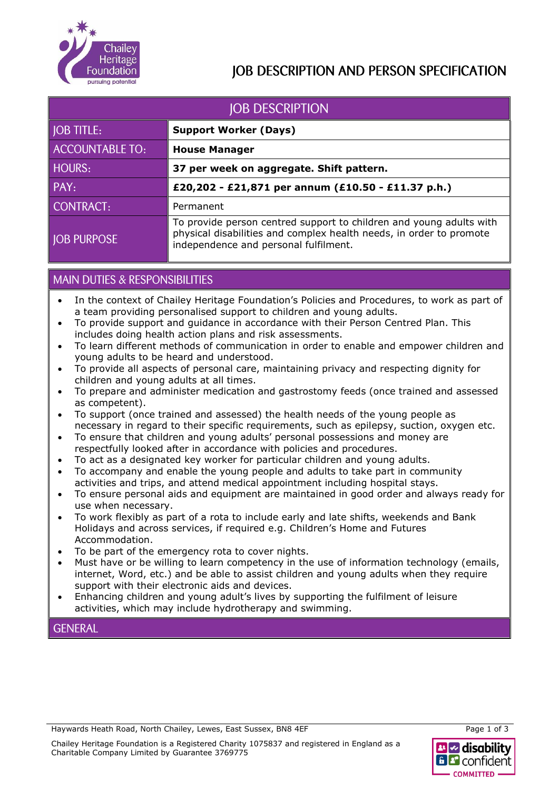

## **IOB DESCRIPTION AND PERSON SPECIFICATION**

| <b>JOB DESCRIPTION</b> |                                                                                                                                                                                     |  |  |
|------------------------|-------------------------------------------------------------------------------------------------------------------------------------------------------------------------------------|--|--|
| <b>JOB TITLE:</b>      | <b>Support Worker (Days)</b>                                                                                                                                                        |  |  |
| <b>ACCOUNTABLE TO:</b> | <b>House Manager</b>                                                                                                                                                                |  |  |
| <b>HOURS:</b>          | 37 per week on aggregate. Shift pattern.                                                                                                                                            |  |  |
| PAY:                   | £20,202 - £21,871 per annum (£10.50 - £11.37 p.h.)                                                                                                                                  |  |  |
| <b>CONTRACT:</b>       | Permanent                                                                                                                                                                           |  |  |
| <b>JOB PURPOSE</b>     | To provide person centred support to children and young adults with<br>physical disabilities and complex health needs, in order to promote<br>independence and personal fulfilment. |  |  |

### **MAIN DUTIES & RESPONSIBILITIES**

- In the context of Chailey Heritage Foundation's Policies and Procedures, to work as part of a team providing personalised support to children and young adults.
- To provide support and guidance in accordance with their Person Centred Plan. This includes doing health action plans and risk assessments.
- To learn different methods of communication in order to enable and empower children and young adults to be heard and understood.
- To provide all aspects of personal care, maintaining privacy and respecting dignity for children and young adults at all times.
- To prepare and administer medication and gastrostomy feeds (once trained and assessed as competent).
- To support (once trained and assessed) the health needs of the young people as necessary in regard to their specific requirements, such as epilepsy, suction, oxygen etc.
- To ensure that children and young adults' personal possessions and money are respectfully looked after in accordance with policies and procedures.
- To act as a designated key worker for particular children and young adults.
- To accompany and enable the young people and adults to take part in community activities and trips, and attend medical appointment including hospital stays.
- To ensure personal aids and equipment are maintained in good order and always ready for use when necessary.
- To work flexibly as part of a rota to include early and late shifts, weekends and Bank Holidays and across services, if required e.g. Children's Home and Futures Accommodation.
- To be part of the emergency rota to cover nights.
- Must have or be willing to learn competency in the use of information technology (emails, internet, Word, etc.) and be able to assist children and young adults when they require support with their electronic aids and devices.
- Enhancing children and young adult's lives by supporting the fulfilment of leisure activities, which may include hydrotherapy and swimming.

**GENERAL** 

Haywards Heath Road, North Chailey, Lewes, East Sussex, BN8 4EF

Chailey Heritage Foundation is a Registered Charity 1075837 and registered in England as a Charitable Company Limited by Guarantee 3769775



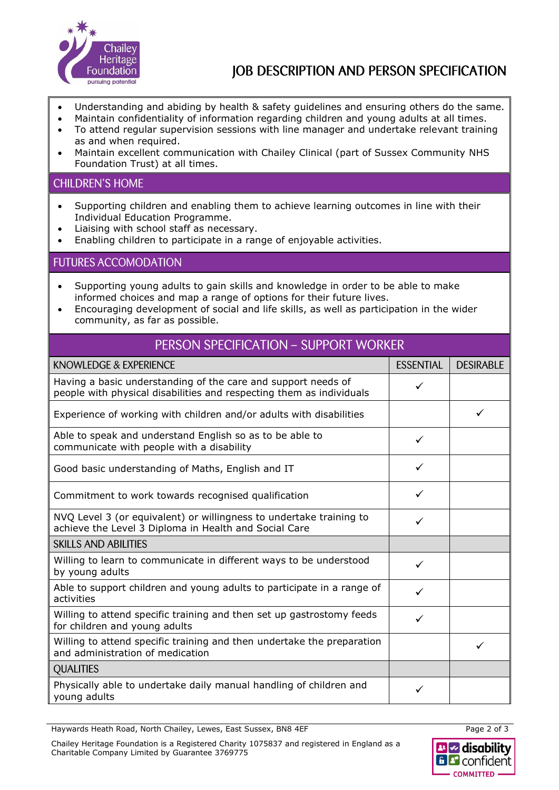

## JOB DESCRIPTION AND PERSON SPECIFICATION

- Understanding and abiding by health & safety guidelines and ensuring others do the same.
- Maintain confidentiality of information regarding children and young adults at all times.
- To attend regular supervision sessions with line manager and undertake relevant training as and when required.
- Maintain excellent communication with Chailey Clinical (part of Sussex Community NHS Foundation Trust) at all times.

#### **CHILDREN'S HOME**

- Supporting children and enabling them to achieve learning outcomes in line with their Individual Education Programme.
- Liaising with school staff as necessary.
- Enabling children to participate in a range of enjoyable activities.

#### **FUTURES ACCOMODATION**

- Supporting young adults to gain skills and knowledge in order to be able to make informed choices and map a range of options for their future lives.
- Encouraging development of social and life skills, as well as participation in the wider community, as far as possible.

### PERSON SPECIFICATION - SUPPORT WORKER

| KNOWLEDGE & EXPERIENCE                                                                                                                |   | <b>DESIRABLE</b> |
|---------------------------------------------------------------------------------------------------------------------------------------|---|------------------|
| Having a basic understanding of the care and support needs of<br>people with physical disabilities and respecting them as individuals |   |                  |
| Experience of working with children and/or adults with disabilities                                                                   |   |                  |
| Able to speak and understand English so as to be able to<br>communicate with people with a disability                                 |   |                  |
| Good basic understanding of Maths, English and IT                                                                                     |   |                  |
| Commitment to work towards recognised qualification                                                                                   |   |                  |
| NVQ Level 3 (or equivalent) or willingness to undertake training to<br>achieve the Level 3 Diploma in Health and Social Care          |   |                  |
| <b>SKILLS AND ABILITIES</b>                                                                                                           |   |                  |
| Willing to learn to communicate in different ways to be understood<br>by young adults                                                 | ✓ |                  |
| Able to support children and young adults to participate in a range of<br>activities                                                  | ✓ |                  |
| Willing to attend specific training and then set up gastrostomy feeds<br>for children and young adults                                |   |                  |
| Willing to attend specific training and then undertake the preparation<br>and administration of medication                            |   | ✓                |
| <b>QUALITIES</b>                                                                                                                      |   |                  |
| Physically able to undertake daily manual handling of children and<br>young adults                                                    |   |                  |

Haywards Heath Road, North Chailey, Lewes, East Sussex, BN8 4EF

Chailey Heritage Foundation is a Registered Charity 1075837 and registered in England as a Charitable Company Limited by Guarantee 3769775